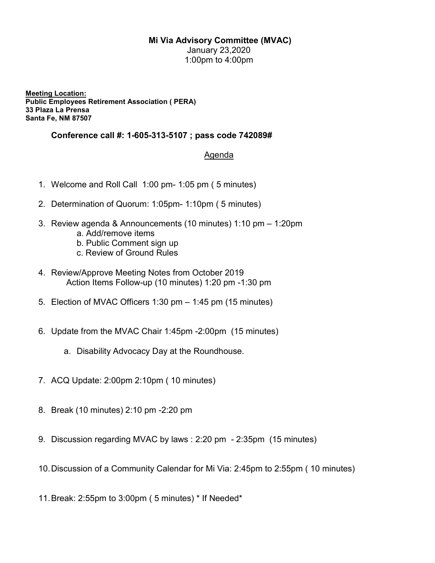## Mi Via Advisory Committee (MVAC)

January 23,2020 1:00pm to 4:00pm

Meeting Location: Public Employees Retirement Association ( PERA) 33 Plaza La Prensa Santa Fe, NM 87507

## Conference call #: 1-605-313-5107 ; pass code 742089#

## Agenda

- 1. Welcome and Roll Call 1:00 pm- 1:05 pm ( 5 minutes)
- 2. Determination of Quorum: 1:05pm- 1:10pm ( 5 minutes)
- 3. Review agenda & Announcements (10 minutes) 1:10 pm 1:20pm
	- a. Add/remove items
	- b. Public Comment sign up
	- c. Review of Ground Rules
- 4. Review/Approve Meeting Notes from October 2019 Action Items Follow-up (10 minutes) 1:20 pm -1:30 pm
- 5. Election of MVAC Officers 1:30 pm 1:45 pm (15 minutes)
- 6. Update from the MVAC Chair 1:45pm -2:00pm (15 minutes)
	- a. Disability Advocacy Day at the Roundhouse.
- 7. ACQ Update: 2:00pm 2:10pm ( 10 minutes)
- 8. Break (10 minutes) 2:10 pm -2:20 pm
- 9. Discussion regarding MVAC by laws : 2:20 pm 2:35pm (15 minutes)
- 10. Discussion of a Community Calendar for Mi Via: 2:45pm to 2:55pm ( 10 minutes)
- 11. Break: 2:55pm to 3:00pm ( 5 minutes) \* If Needed\*